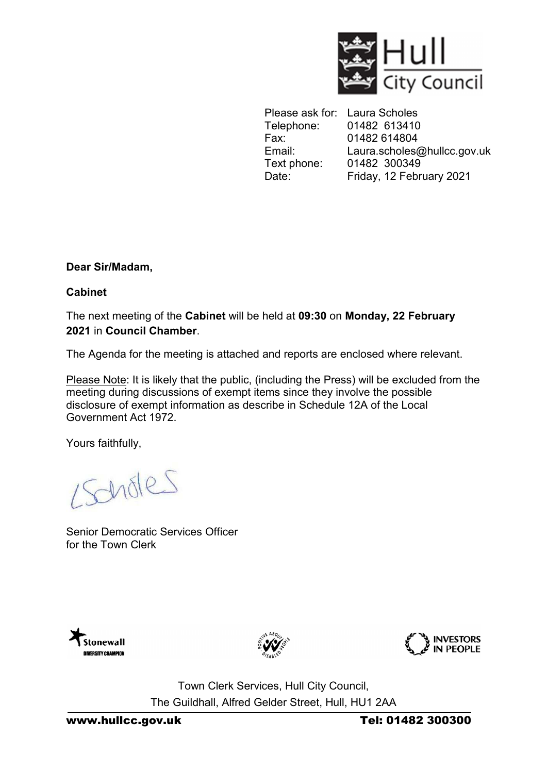

Please ask for: Laura Scholes Telephone: 01482 613410<br>Fax: 01482 614804 01482 614804 Email: Laura.scholes[@hullcc.gov.uk](mailto:Nicola.stocks@hullcc.gov.uk) Text phone: 01482 300349 Date: Friday, 12 February 2021

**Dear Sir/Madam,** 

**Cabinet**

The next meeting of the **Cabinet** will be held at **09:30** on **Monday, 22 February 2021** in **Council Chamber**.

The Agenda for the meeting is attached and reports are enclosed where relevant.

Please Note: It is likely that the public, (including the Press) will be excluded from the meeting during discussions of exempt items since they involve the possible disclosure of exempt information as describe in Schedule 12A of the Local Government Act 1972.

Yours faithfully,

Scholes

Senior Democratic Services Officer for the Town Clerk







Town Clerk Services, Hull City Council, The Guildhall, Alfred Gelder Street, Hull, HU1 2AA

www.hullcc.gov.uk Tel: 01482 300300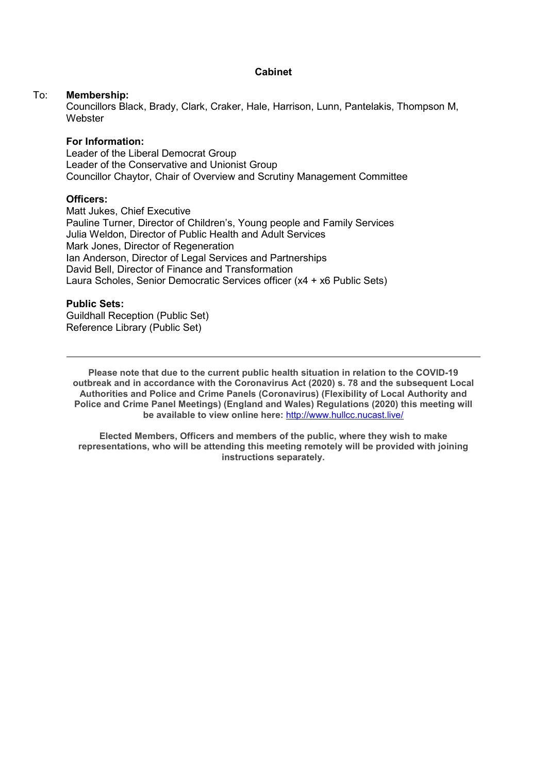#### **Cabinet**

#### To: **Membership:**

 Councillors Black, Brady, Clark, Craker, Hale, Harrison, Lunn, Pantelakis, Thompson M, **Webster** 

#### **For Information:**

Leader of the Liberal Democrat Group Leader of the Conservative and Unionist Group Councillor Chaytor, Chair of Overview and Scrutiny Management Committee

#### **Officers:**

Matt Jukes, Chief Executive Pauline Turner, Director of Children's, Young people and Family Services Julia Weldon, Director of Public Health and Adult Services Mark Jones, Director of Regeneration Ian Anderson, Director of Legal Services and Partnerships David Bell, Director of Finance and Transformation Laura Scholes, Senior Democratic Services officer (x4 + x6 Public Sets)

#### **Public Sets:**

Guildhall Reception (Public Set) Reference Library (Public Set)

**Please note that due to the current public health situation in relation to the COVID-19 outbreak and in accordance with the Coronavirus Act (2020) s. 78 and the subsequent Local Authorities and Police and Crime Panels (Coronavirus) (Flexibility of Local Authority and Police and Crime Panel Meetings) (England and Wales) Regulations (2020) this meeting will be available to view online here:** <http://www.hullcc.nucast.live/>

**Elected Members, Officers and members of the public, where they wish to make representations, who will be attending this meeting remotely will be provided with joining instructions separately.**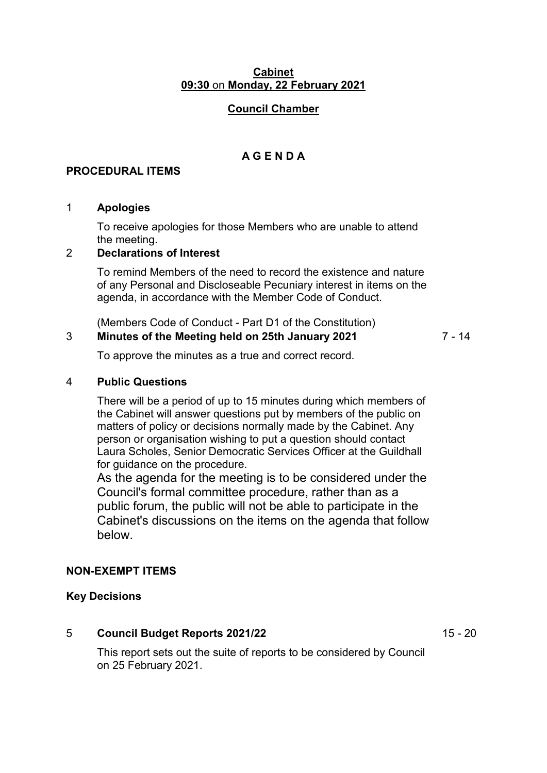#### **Cabinet 09:30** on **Monday, 22 February 2021**

## **Council Chamber**

# **A G E N D A**

### **PROCEDURAL ITEMS**

#### 1 **Apologies**

To receive apologies for those Members who are unable to attend the meeting.

# 2 **Declarations of Interest**

To remind Members of the need to record the existence and nature of any Personal and Discloseable Pecuniary interest in items on the agenda, in accordance with the Member Code of Conduct.

(Members Code of Conduct - Part D1 of the Constitution)

## 3 **Minutes of the Meeting held on 25th January 2021**

7 - 14

To approve the minutes as a true and correct record.

#### 4 **Public Questions**

There will be a period of up to 15 minutes during which members of the Cabinet will answer questions put by members of the public on matters of policy or decisions normally made by the Cabinet. Any person or organisation wishing to put a question should contact Laura Scholes, Senior Democratic Services Officer at the Guildhall for guidance on the procedure.

As the agenda for the meeting is to be considered under the Council's formal committee procedure, rather than as a public forum, the public will not be able to participate in the Cabinet's discussions on the items on the agenda that follow below.

#### **NON-EXEMPT ITEMS**

#### **Key Decisions**

# 5 **Council Budget Reports 2021/22**

15 - 20

This report sets out the suite of reports to be considered by Council on 25 February 2021.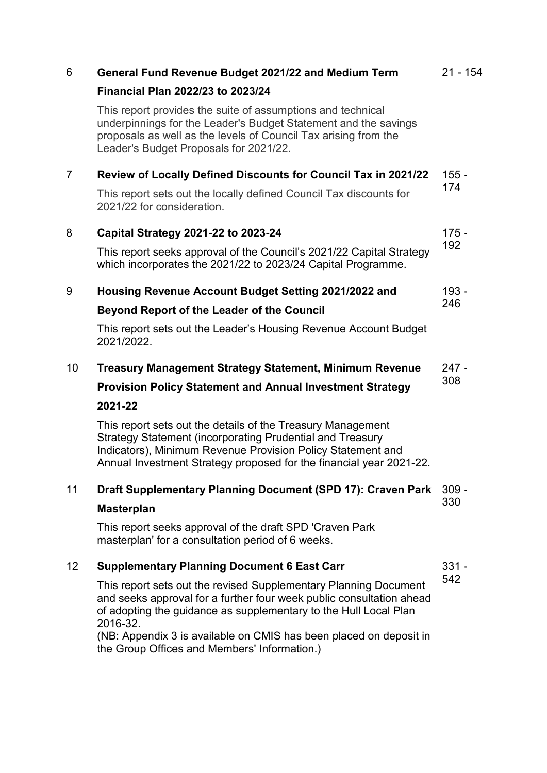| 6               | General Fund Revenue Budget 2021/22 and Medium Term                                                                                                                                                                                                            | $21 - 154$     |
|-----------------|----------------------------------------------------------------------------------------------------------------------------------------------------------------------------------------------------------------------------------------------------------------|----------------|
|                 | <b>Financial Plan 2022/23 to 2023/24</b>                                                                                                                                                                                                                       |                |
|                 | This report provides the suite of assumptions and technical<br>underpinnings for the Leader's Budget Statement and the savings<br>proposals as well as the levels of Council Tax arising from the<br>Leader's Budget Proposals for 2021/22.                    |                |
| $\overline{7}$  | Review of Locally Defined Discounts for Council Tax in 2021/22                                                                                                                                                                                                 | $155 -$<br>174 |
|                 | This report sets out the locally defined Council Tax discounts for<br>2021/22 for consideration.                                                                                                                                                               |                |
| 8               | Capital Strategy 2021-22 to 2023-24                                                                                                                                                                                                                            | $175 -$<br>192 |
|                 | This report seeks approval of the Council's 2021/22 Capital Strategy<br>which incorporates the 2021/22 to 2023/24 Capital Programme.                                                                                                                           |                |
| 9               | Housing Revenue Account Budget Setting 2021/2022 and                                                                                                                                                                                                           | 193 -<br>246   |
|                 | <b>Beyond Report of the Leader of the Council</b>                                                                                                                                                                                                              |                |
|                 | This report sets out the Leader's Housing Revenue Account Budget<br>2021/2022.                                                                                                                                                                                 |                |
| 10 <sup>1</sup> | <b>Treasury Management Strategy Statement, Minimum Revenue</b>                                                                                                                                                                                                 | $247 -$        |
|                 | <b>Provision Policy Statement and Annual Investment Strategy</b>                                                                                                                                                                                               | 308            |
|                 | 2021-22                                                                                                                                                                                                                                                        |                |
|                 | This report sets out the details of the Treasury Management<br>Strategy Statement (incorporating Prudential and Treasury<br>Indicators), Minimum Revenue Provision Policy Statement and<br>Annual Investment Strategy proposed for the financial year 2021-22. |                |
| 11              | Draft Supplementary Planning Document (SPD 17): Craven Park                                                                                                                                                                                                    | $309 -$        |
|                 | <b>Masterplan</b>                                                                                                                                                                                                                                              | 330            |
|                 | This report seeks approval of the draft SPD 'Craven Park<br>masterplan' for a consultation period of 6 weeks.                                                                                                                                                  |                |
| 12              | <b>Supplementary Planning Document 6 East Carr</b>                                                                                                                                                                                                             | $331 -$<br>542 |
|                 | This report sets out the revised Supplementary Planning Document<br>and seeks approval for a further four week public consultation ahead<br>of adopting the guidance as supplementary to the Hull Local Plan<br>2016-32.                                       |                |
|                 | (NB: Appendix 3 is available on CMIS has been placed on deposit in<br>the Group Offices and Members' Information.)                                                                                                                                             |                |